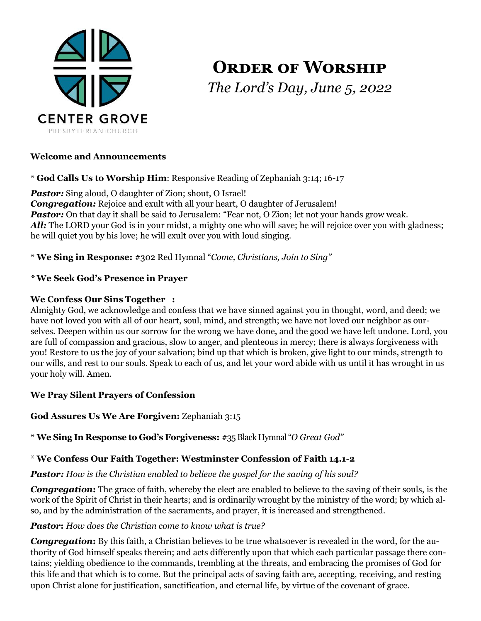

# **ORDER OF WORSHIP** *The Lord's Day, June 5, 2022*

#### **Welcome and Announcements**

\* **God Calls Us to Worship Him**: Responsive Reading of Zephaniah 3:14; 16-17

**Pastor:** Sing aloud, O daughter of Zion; shout, O Israel! *Congregation:* Rejoice and exult with all your heart, O daughter of Jerusalem! **Pastor:** On that day it shall be said to Jerusalem: "Fear not, O Zion; let not your hands grow weak. All: The LORD your God is in your midst, a mighty one who will save; he will rejoice over you with gladness; he will quiet you by his love; he will exult over you with loud singing.

\* **We Sing in Response:** #302 Red Hymnal "*Come, Christians, Join to Sing"*

## *\** **We Seek God's Presence in Prayer**

## **We Confess Our Sins Together :**

Almighty God, we acknowledge and confess that we have sinned against you in thought, word, and deed; we have not loved you with all of our heart, soul, mind, and strength; we have not loved our neighbor as ourselves. Deepen within us our sorrow for the wrong we have done, and the good we have left undone. Lord, you are full of compassion and gracious, slow to anger, and plenteous in mercy; there is always forgiveness with you! Restore to us the joy of your salvation; bind up that which is broken, give light to our minds, strength to our wills, and rest to our souls. Speak to each of us, and let your word abide with us until it has wrought in us your holy will. Amen.

# **We Pray Silent Prayers of Confession**

# **God Assures Us We Are Forgiven:** Zephaniah 3:15

\* **We Sing In Response to God's Forgiveness:** #35 Black Hymnal "*O Great God"*

# \* **We Confess Our Faith Together: Westminster Confession of Faith 14.1-2**

#### *Pastor: How is the Christian enabled to believe the gospel for the saving of his soul?*

*Congregation***:** The grace of faith, whereby the elect are enabled to believe to the saving of their souls, is the work of the Spirit of Christ in their hearts; and is ordinarily wrought by the ministry of the word; by which also, and by the administration of the sacraments, and prayer, it is increased and strengthened.

#### *Pastor***:** *How does the Christian come to know what is true?*

*Congregation***:** By this faith, a Christian believes to be true whatsoever is revealed in the word, for the authority of God himself speaks therein; and acts differently upon that which each particular passage there contains; yielding obedience to the commands, trembling at the threats, and embracing the promises of God for this life and that which is to come. But the principal acts of saving faith are, accepting, receiving, and resting upon Christ alone for justification, sanctification, and eternal life, by virtue of the covenant of grace.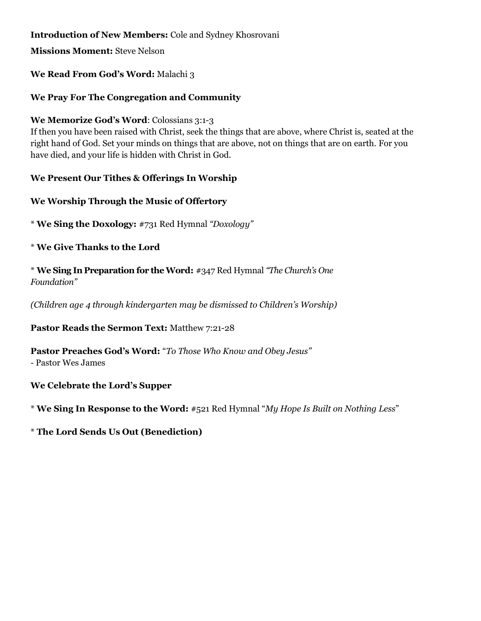## **Introduction of New Members:** Cole and Sydney Khosrovani

**Missions Moment:** Steve Nelson

#### **We Read From God's Word:** Malachi 3

#### **We Pray For The Congregation and Community**

#### **We Memorize God's Word**: Colossians 3:1-3

If then you have been raised with Christ, seek the things that are above, where Christ is, seated at the right hand of God. Set your minds on things that are above, not on things that are on earth. For you have died, and your life is hidden with Christ in God.

## **We Present Our Tithes & Offerings In Worship**

## **We Worship Through the Music of Offertory**

\* **We Sing the Doxology:** #731 Red Hymnal *"Doxology"*

\* **We Give Thanks to the Lord**

\* **We Sing In Preparation for the Word:** #347 Red Hymnal *"The Church's One Foundation"*

*(Children age 4 through kindergarten may be dismissed to Children's Worship)*

**Pastor Reads the Sermon Text:** Matthew 7:21-28

**Pastor Preaches God's Word:** "*To Those Who Know and Obey Jesus"* 

*-* Pastor Wes James

**We Celebrate the Lord's Supper** 

\* **We Sing In Response to the Word:** #521 Red Hymnal "*My Hope Is Built on Nothing Less*"

\* **The Lord Sends Us Out (Benediction)**